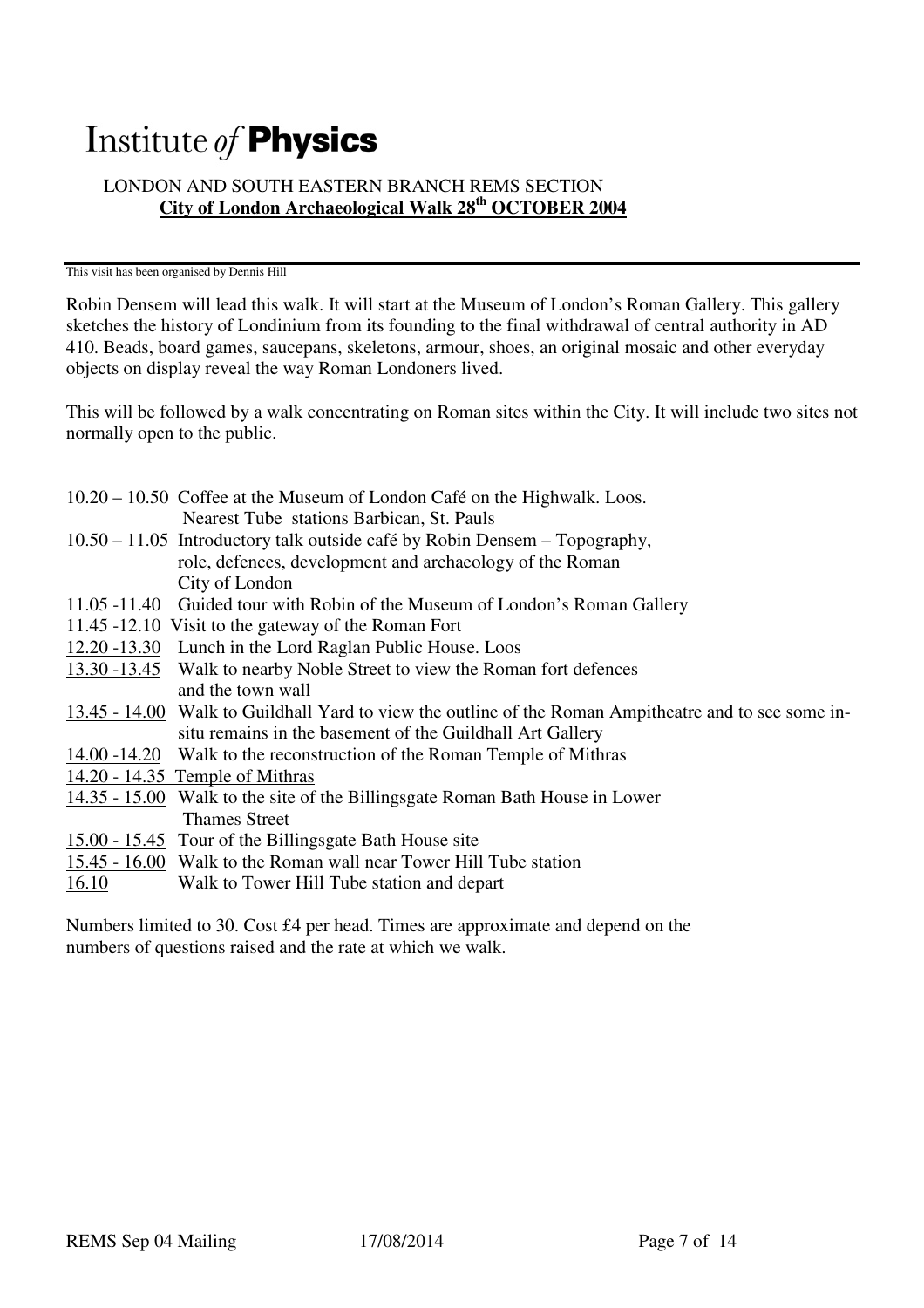# Institute of Physics

## LONDON AND SOUTH EASTERN BRANCH REMS SECTION **City of London Archaeological Walk 28th OCTOBER 2004**

#### This visit has been organised by Dennis Hill

Robin Densem will lead this walk. It will start at the Museum of London's Roman Gallery. This gallery sketches the history of Londinium from its founding to the final withdrawal of central authority in AD 410. Beads, board games, saucepans, skeletons, armour, shoes, an original mosaic and other everyday objects on display reveal the way Roman Londoners lived.

This will be followed by a walk concentrating on Roman sites within the City. It will include two sites not normally open to the public.

|       | 10.20 – 10.50 Coffee at the Museum of London Café on the Highwalk. Loos.                              |
|-------|-------------------------------------------------------------------------------------------------------|
|       | Nearest Tube stations Barbican, St. Pauls                                                             |
|       | 10.50 – 11.05 Introductory talk outside café by Robin Densem – Topography,                            |
|       | role, defences, development and archaeology of the Roman                                              |
|       | City of London                                                                                        |
|       | 11.05 -11.40 Guided tour with Robin of the Museum of London's Roman Gallery                           |
|       | 11.45 -12.10 Visit to the gateway of the Roman Fort                                                   |
|       | 12.20 -13.30 Lunch in the Lord Raglan Public House. Loos                                              |
|       | 13.30 -13.45 Walk to nearby Noble Street to view the Roman fort defences                              |
|       | and the town wall                                                                                     |
|       | 13.45 - 14.00 Walk to Guildhall Yard to view the outline of the Roman Ampitheatre and to see some in- |
|       | situ remains in the basement of the Guildhall Art Gallery                                             |
|       | 14.00 -14.20 Walk to the reconstruction of the Roman Temple of Mithras                                |
|       | $14.20 - 14.35$ Temple of Mithras                                                                     |
|       | 14.35 - 15.00 Walk to the site of the Billingsgate Roman Bath House in Lower                          |
|       | <b>Thames Street</b>                                                                                  |
|       | 15.00 - 15.45 Tour of the Billingsgate Bath House site                                                |
|       | 15.45 - 16.00 Walk to the Roman wall near Tower Hill Tube station                                     |
| 16.10 | Walk to Tower Hill Tube station and depart                                                            |
|       |                                                                                                       |

Numbers limited to 30. Cost £4 per head. Times are approximate and depend on the numbers of questions raised and the rate at which we walk.